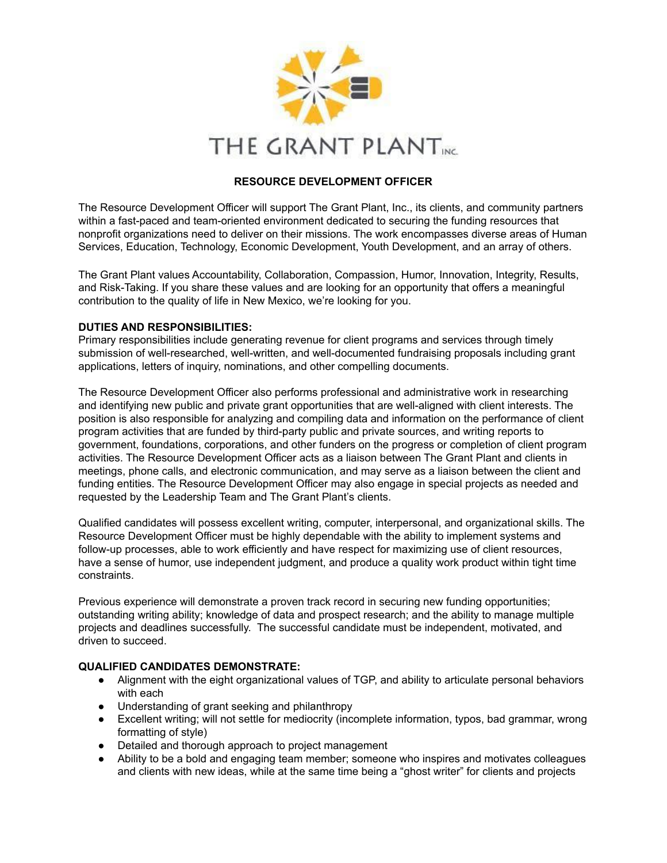

#### **RESOURCE DEVELOPMENT OFFICER**

The Resource Development Officer will support The Grant Plant, Inc., its clients, and community partners within a fast-paced and team-oriented environment dedicated to securing the funding resources that nonprofit organizations need to deliver on their missions. The work encompasses diverse areas of Human Services, Education, Technology, Economic Development, Youth Development, and an array of others.

The Grant Plant values Accountability, Collaboration, Compassion, Humor, Innovation, Integrity, Results, and Risk-Taking. If you share these values and are looking for an opportunity that offers a meaningful contribution to the quality of life in New Mexico, we're looking for you.

#### **DUTIES AND RESPONSIBILITIES:**

Primary responsibilities include generating revenue for client programs and services through timely submission of well-researched, well-written, and well-documented fundraising proposals including grant applications, letters of inquiry, nominations, and other compelling documents.

The Resource Development Officer also performs professional and administrative work in researching and identifying new public and private grant opportunities that are well-aligned with client interests. The position is also responsible for analyzing and compiling data and information on the performance of client program activities that are funded by third-party public and private sources, and writing reports to government, foundations, corporations, and other funders on the progress or completion of client program activities. The Resource Development Officer acts as a liaison between The Grant Plant and clients in meetings, phone calls, and electronic communication, and may serve as a liaison between the client and funding entities. The Resource Development Officer may also engage in special projects as needed and requested by the Leadership Team and The Grant Plant's clients.

Qualified candidates will possess excellent writing, computer, interpersonal, and organizational skills. The Resource Development Officer must be highly dependable with the ability to implement systems and follow-up processes, able to work efficiently and have respect for maximizing use of client resources, have a sense of humor, use independent judgment, and produce a quality work product within tight time constraints.

Previous experience will demonstrate a proven track record in securing new funding opportunities; outstanding writing ability; knowledge of data and prospect research; and the ability to manage multiple projects and deadlines successfully. The successful candidate must be independent, motivated, and driven to succeed.

#### **QUALIFIED CANDIDATES DEMONSTRATE:**

- Alignment with the eight organizational values of TGP, and ability to articulate personal behaviors with each
- Understanding of grant seeking and philanthropy
- Excellent writing; will not settle for mediocrity (incomplete information, typos, bad grammar, wrong formatting of style)
- Detailed and thorough approach to project management
- Ability to be a bold and engaging team member; someone who inspires and motivates colleagues and clients with new ideas, while at the same time being a "ghost writer" for clients and projects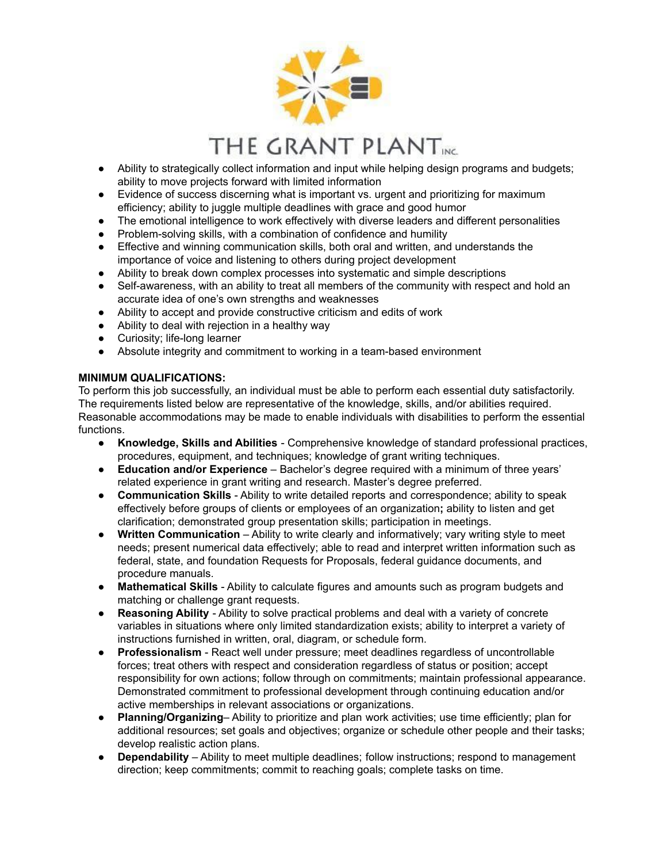

# THE GRANT PLANTIK

- Ability to strategically collect information and input while helping design programs and budgets; ability to move projects forward with limited information
- Evidence of success discerning what is important vs. urgent and prioritizing for maximum efficiency; ability to juggle multiple deadlines with grace and good humor
- The emotional intelligence to work effectively with diverse leaders and different personalities
- Problem-solving skills, with a combination of confidence and humility
- Effective and winning communication skills, both oral and written, and understands the importance of voice and listening to others during project development
- Ability to break down complex processes into systematic and simple descriptions
- Self-awareness, with an ability to treat all members of the community with respect and hold an accurate idea of one's own strengths and weaknesses
- Ability to accept and provide constructive criticism and edits of work
- Ability to deal with rejection in a healthy way
- Curiosity; life-long learner
- Absolute integrity and commitment to working in a team-based environment

## **MINIMUM QUALIFICATIONS:**

To perform this job successfully, an individual must be able to perform each essential duty satisfactorily. The requirements listed below are representative of the knowledge, skills, and/or abilities required. Reasonable accommodations may be made to enable individuals with disabilities to perform the essential functions.

- **Knowledge, Skills and Abilities** Comprehensive knowledge of standard professional practices, procedures, equipment, and techniques; knowledge of grant writing techniques.
- **Education and/or Experience** Bachelor's degree required with a minimum of three years' related experience in grant writing and research. Master's degree preferred.
- **Communication Skills** Ability to write detailed reports and correspondence; ability to speak effectively before groups of clients or employees of an organization**;** ability to listen and get clarification; demonstrated group presentation skills; participation in meetings.
- **Written Communication** Ability to write clearly and informatively; vary writing style to meet needs; present numerical data effectively; able to read and interpret written information such as federal, state, and foundation Requests for Proposals, federal guidance documents, and procedure manuals.
- **Mathematical Skills** Ability to calculate figures and amounts such as program budgets and matching or challenge grant requests.
- **Reasoning Ability** Ability to solve practical problems and deal with a variety of concrete variables in situations where only limited standardization exists; ability to interpret a variety of instructions furnished in written, oral, diagram, or schedule form.
- **Professionalism** React well under pressure; meet deadlines regardless of uncontrollable forces; treat others with respect and consideration regardless of status or position; accept responsibility for own actions; follow through on commitments; maintain professional appearance. Demonstrated commitment to professional development through continuing education and/or active memberships in relevant associations or organizations.
- **Planning/Organizing** Ability to prioritize and plan work activities; use time efficiently; plan for additional resources; set goals and objectives; organize or schedule other people and their tasks; develop realistic action plans.
- **Dependability** Ability to meet multiple deadlines; follow instructions; respond to management direction; keep commitments; commit to reaching goals; complete tasks on time.